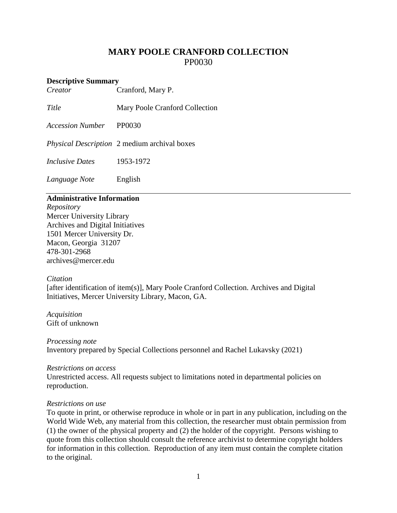# **MARY POOLE CRANFORD COLLECTION** PP0030

# **Descriptive Summary**<br>*Creator* (

*Creator* Cranford, Mary P.

**Title** Mary Poole Cranford Collection

*Accession Number* PP0030

*Physical Description* 2 medium archival boxes

*Inclusive Dates* 1953-1972

*Language Note* English

# **Administrative Information**

*Repository* Mercer University Library Archives and Digital Initiatives 1501 Mercer University Dr. Macon, Georgia 31207 478-301-2968 [archives@mercer.edu](mailto:archives@mercer.edu)

#### *Citation*

[after identification of item(s)], Mary Poole Cranford Collection. Archives and Digital Initiatives, Mercer University Library, Macon, GA.

*Acquisition* Gift of unknown

*Processing note* Inventory prepared by Special Collections personnel and Rachel Lukavsky (2021)

#### *Restrictions on access*

Unrestricted access. All requests subject to limitations noted in departmental policies on reproduction.

#### *Restrictions on use*

To quote in print, or otherwise reproduce in whole or in part in any publication, including on the World Wide Web, any material from this collection, the researcher must obtain permission from (1) the owner of the physical property and (2) the holder of the copyright. Persons wishing to quote from this collection should consult the reference archivist to determine copyright holders for information in this collection. Reproduction of any item must contain the complete citation to the original.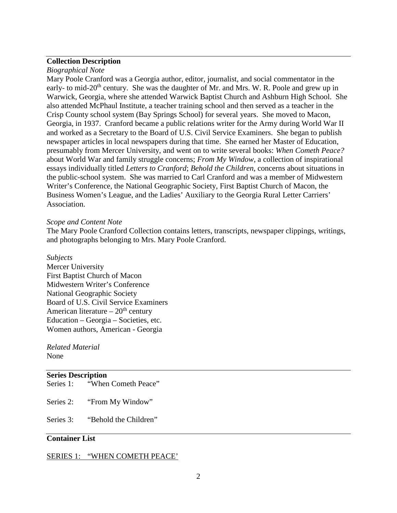# **Collection Description**

#### *Biographical Note*

Mary Poole Cranford was a Georgia author, editor, journalist, and social commentator in the early- to mid-20<sup>th</sup> century. She was the daughter of Mr. and Mrs. W. R. Poole and grew up in Warwick, Georgia, where she attended Warwick Baptist Church and Ashburn High School. She also attended McPhaul Institute, a teacher training school and then served as a teacher in the Crisp County school system (Bay Springs School) for several years. She moved to Macon, Georgia, in 1937. Cranford became a public relations writer for the Army during World War II and worked as a Secretary to the Board of U.S. Civil Service Examiners. She began to publish newspaper articles in local newspapers during that time. She earned her Master of Education, presumably from Mercer University, and went on to write several books: *When Cometh Peace?* about World War and family struggle concerns; *From My Window*, a collection of inspirational essays individually titled *Letters to Cranford*; *Behold the Children*, concerns about situations in the public-school system. She was married to Carl Cranford and was a member of Midwestern Writer's Conference, the National Geographic Society, First Baptist Church of Macon, the Business Women's League, and the Ladies' Auxiliary to the Georgia Rural Letter Carriers' Association.

#### *Scope and Content Note*

The Mary Poole Cranford Collection contains letters, transcripts, newspaper clippings, writings, and photographs belonging to Mrs. Mary Poole Cranford.

#### *Subjects*

Mercer University First Baptist Church of Macon Midwestern Writer's Conference National Geographic Society Board of U.S. Civil Service Examiners American literature –  $20<sup>th</sup>$  century Education – Georgia – Societies, etc. Women authors, American - Georgia

*Related Material* None

# **Series Description**

Series 1: "When Cometh Peace"

Series 2: "From My Window"

Series 3: "Behold the Children"

# **Container List**

#### SERIES 1: "WHEN COMETH PEACE'